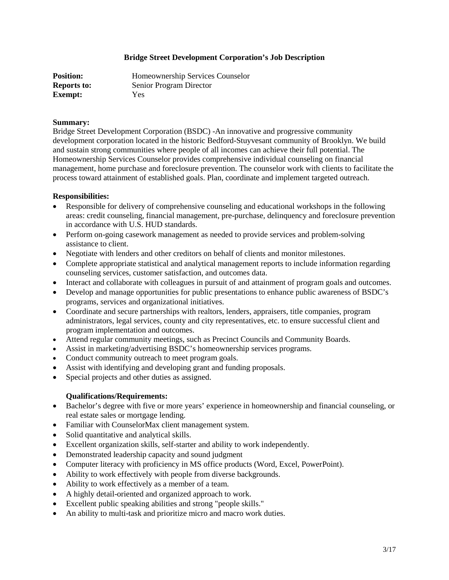## **Bridge Street Development Corporation's Job Description**

| <b>Position:</b>   | Homeownership Services Counselor |
|--------------------|----------------------------------|
| <b>Reports to:</b> | Senior Program Director          |
| <b>Exempt:</b>     | Yes                              |

## **Summary:**

Bridge Street Development Corporation (BSDC) -An innovative and progressive community development corporation located in the historic Bedford-Stuyvesant community of Brooklyn. We build and sustain strong communities where people of all incomes can achieve their full potential. The Homeownership Services Counselor provides comprehensive individual counseling on financial management, home purchase and foreclosure prevention. The counselor work with clients to facilitate the process toward attainment of established goals. Plan, coordinate and implement targeted outreach.

## **Responsibilities:**

- Responsible for delivery of comprehensive counseling and educational workshops in the following areas: credit counseling, financial management, pre-purchase, delinquency and foreclosure prevention in accordance with U.S. HUD standards.
- Perform on-going casework management as needed to provide services and problem-solving assistance to client.
- Negotiate with lenders and other creditors on behalf of clients and monitor milestones.
- Complete appropriate statistical and analytical management reports to include information regarding counseling services, customer satisfaction, and outcomes data.
- Interact and collaborate with colleagues in pursuit of and attainment of program goals and outcomes.
- Develop and manage opportunities for public presentations to enhance public awareness of BSDC's programs, services and organizational initiatives.
- Coordinate and secure partnerships with realtors, lenders, appraisers, title companies, program administrators, legal services, county and city representatives, etc. to ensure successful client and program implementation and outcomes.
- Attend regular community meetings, such as Precinct Councils and Community Boards.
- Assist in marketing/advertising BSDC's homeownership services programs.
- Conduct community outreach to meet program goals.
- Assist with identifying and developing grant and funding proposals.
- Special projects and other duties as assigned.

## **Qualifications/Requirements:**

- Bachelor's degree with five or more years' experience in homeownership and financial counseling, or real estate sales or mortgage lending.
- Familiar with CounselorMax client management system.
- Solid quantitative and analytical skills.
- Excellent organization skills, self-starter and ability to work independently.
- Demonstrated leadership capacity and sound judgment
- Computer literacy with proficiency in MS office products (Word, Excel, PowerPoint).
- Ability to work effectively with people from diverse backgrounds.
- Ability to work effectively as a member of a team.
- A highly detail-oriented and organized approach to work.
- Excellent public speaking abilities and strong "people skills."
- An ability to multi-task and prioritize micro and macro work duties.